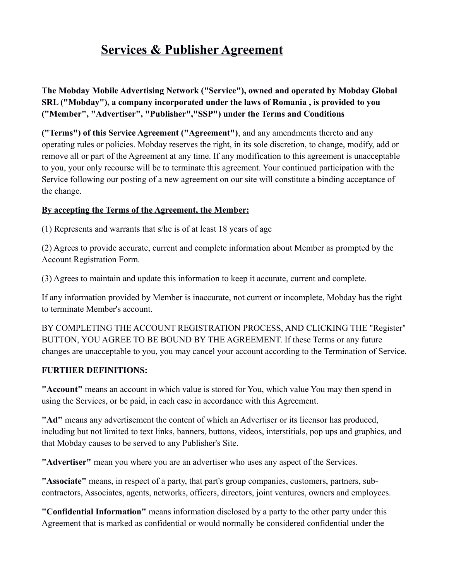# **Services & Publisher Agreement**

**The Mobday Mobile Advertising Network ("Service"), owned and operated by Mobday Global SRL ("Mobday"), a company incorporated under the laws of Romania , is provided to you ("Member", "Advertiser", "Publisher","SSP") under the Terms and Conditions**

**("Terms") of this Service Agreement ("Agreement")**, and any amendments thereto and any operating rules or policies. Mobday reserves the right, in its sole discretion, to change, modify, add or remove all or part of the Agreement at any time. If any modification to this agreement is unacceptable to you, your only recourse will be to terminate this agreement. Your continued participation with the Service following our posting of a new agreement on our site will constitute a binding acceptance of the change.

#### **By accepting the Terms of the Agreement, the Member:**

(1) Represents and warrants that s/he is of at least 18 years of age

(2) Agrees to provide accurate, current and complete information about Member as prompted by the Account Registration Form.

(3) Agrees to maintain and update this information to keep it accurate, current and complete.

If any information provided by Member is inaccurate, not current or incomplete, Mobday has the right to terminate Member's account.

BY COMPLETING THE ACCOUNT REGISTRATION PROCESS, AND CLICKING THE "Register" BUTTON, YOU AGREE TO BE BOUND BY THE AGREEMENT. If these Terms or any future changes are unacceptable to you, you may cancel your account according to the Termination of Service.

#### **FURTHER DEFINITIONS:**

**"Account"** means an account in which value is stored for You, which value You may then spend in using the Services, or be paid, in each case in accordance with this Agreement.

**"Ad"** means any advertisement the content of which an Advertiser or its licensor has produced, including but not limited to text links, banners, buttons, videos, interstitials, pop ups and graphics, and that Mobday causes to be served to any Publisher's Site.

**"Advertiser"** mean you where you are an advertiser who uses any aspect of the Services.

**"Associate"** means, in respect of a party, that part's group companies, customers, partners, subcontractors, Associates, agents, networks, officers, directors, joint ventures, owners and employees.

**"Confidential Information"** means information disclosed by a party to the other party under this Agreement that is marked as confidential or would normally be considered confidential under the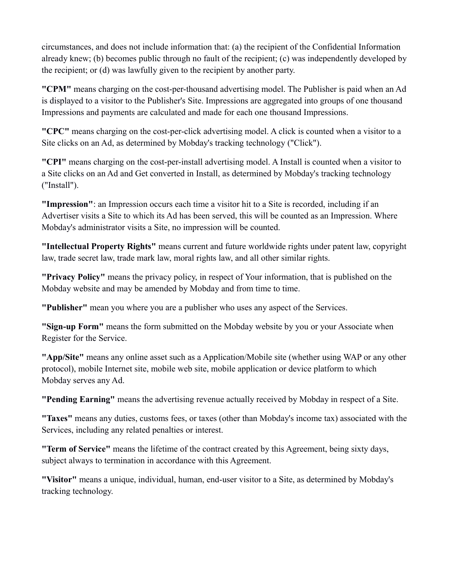circumstances, and does not include information that: (a) the recipient of the Confidential Information already knew; (b) becomes public through no fault of the recipient; (c) was independently developed by the recipient; or (d) was lawfully given to the recipient by another party.

**"CPM"** means charging on the cost-per-thousand advertising model. The Publisher is paid when an Ad is displayed to a visitor to the Publisher's Site. Impressions are aggregated into groups of one thousand Impressions and payments are calculated and made for each one thousand Impressions.

**"CPC"** means charging on the cost-per-click advertising model. A click is counted when a visitor to a Site clicks on an Ad, as determined by Mobday's tracking technology ("Click").

**"CPI"** means charging on the cost-per-install advertising model. A Install is counted when a visitor to a Site clicks on an Ad and Get converted in Install, as determined by Mobday's tracking technology ("Install").

**"Impression"**: an Impression occurs each time a visitor hit to a Site is recorded, including if an Advertiser visits a Site to which its Ad has been served, this will be counted as an Impression. Where Mobday's administrator visits a Site, no impression will be counted.

**"Intellectual Property Rights"** means current and future worldwide rights under patent law, copyright law, trade secret law, trade mark law, moral rights law, and all other similar rights.

**"Privacy Policy"** means the privacy policy, in respect of Your information, that is published on the Mobday website and may be amended by Mobday and from time to time.

**"Publisher"** mean you where you are a publisher who uses any aspect of the Services.

**"Sign-up Form"** means the form submitted on the Mobday website by you or your Associate when Register for the Service.

**"App/Site"** means any online asset such as a Application/Mobile site (whether using WAP or any other protocol), mobile Internet site, mobile web site, mobile application or device platform to which Mobday serves any Ad.

**"Pending Earning"** means the advertising revenue actually received by Mobday in respect of a Site.

**"Taxes"** means any duties, customs fees, or taxes (other than Mobday's income tax) associated with the Services, including any related penalties or interest.

**"Term of Service"** means the lifetime of the contract created by this Agreement, being sixty days, subject always to termination in accordance with this Agreement.

**"Visitor"** means a unique, individual, human, end-user visitor to a Site, as determined by Mobday's tracking technology.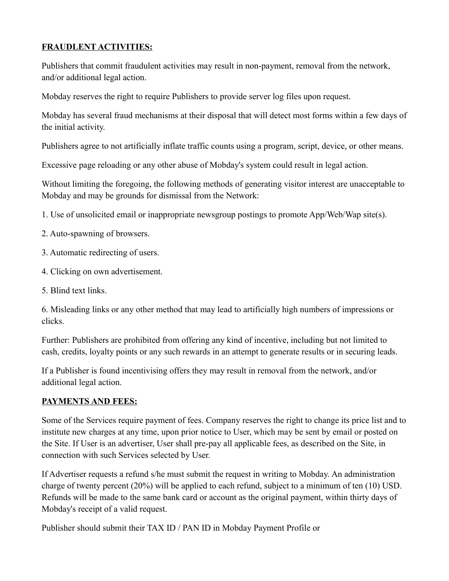## **FRAUDLENT ACTIVITIES:**

Publishers that commit fraudulent activities may result in non-payment, removal from the network, and/or additional legal action.

Mobday reserves the right to require Publishers to provide server log files upon request.

Mobday has several fraud mechanisms at their disposal that will detect most forms within a few days of the initial activity.

Publishers agree to not artificially inflate traffic counts using a program, script, device, or other means.

Excessive page reloading or any other abuse of Mobday's system could result in legal action.

Without limiting the foregoing, the following methods of generating visitor interest are unacceptable to Mobday and may be grounds for dismissal from the Network:

1. Use of unsolicited email or inappropriate newsgroup postings to promote App/Web/Wap site(s).

- 2. Auto-spawning of browsers.
- 3. Automatic redirecting of users.
- 4. Clicking on own advertisement.
- 5. Blind text links.

6. Misleading links or any other method that may lead to artificially high numbers of impressions or clicks.

Further: Publishers are prohibited from offering any kind of incentive, including but not limited to cash, credits, loyalty points or any such rewards in an attempt to generate results or in securing leads.

If a Publisher is found incentivising offers they may result in removal from the network, and/or additional legal action.

### **PAYMENTS AND FEES:**

Some of the Services require payment of fees. Company reserves the right to change its price list and to institute new charges at any time, upon prior notice to User, which may be sent by email or posted on the Site. If User is an advertiser, User shall pre-pay all applicable fees, as described on the Site, in connection with such Services selected by User.

If Advertiser requests a refund s/he must submit the request in writing to Mobday. An administration charge of twenty percent (20%) will be applied to each refund, subject to a minimum of ten (10) USD. Refunds will be made to the same bank card or account as the original payment, within thirty days of Mobday's receipt of a valid request.

Publisher should submit their TAX ID / PAN ID in Mobday Payment Profile or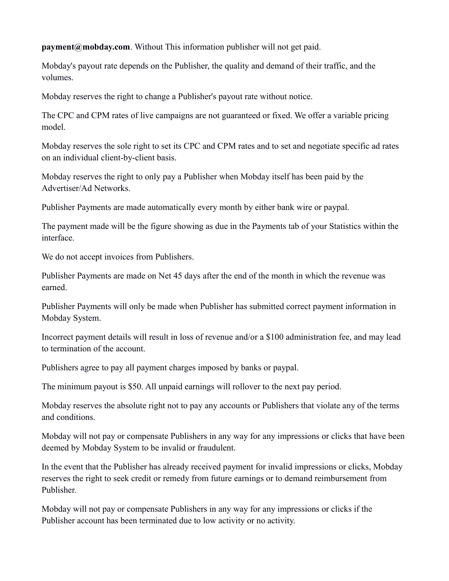**payment@mobday.com**. Without This information publisher will not get paid.

Mobday's payout rate depends on the Publisher, the quality and demand of their traffic, and the volumes.

Mobday reserves the right to change a Publisher's payout rate without notice.

The CPC and CPM rates of live campaigns are not guaranteed or fixed. We offer a variable pricing model.

Mobday reserves the sole right to set its CPC and CPM rates and to set and negotiate specific ad rates on an individual client-by-client basis.

Mobday reserves the right to only pay a Publisher when Mobday itself has been paid by the Advertiser/Ad Networks.

Publisher Payments are made automatically every month by either bank wire or paypal.

The payment made will be the figure showing as due in the Payments tab of your Statistics within the interface.

We do not accept invoices from Publishers.

Publisher Payments are made on Net 45 days after the end of the month in which the revenue was earned.

Publisher Payments will only be made when Publisher has submitted correct payment information in Mobday System.

Incorrect payment details will result in loss of revenue and/or a \$100 administration fee, and may lead to termination of the account.

Publishers agree to pay all payment charges imposed by banks or paypal.

The minimum payout is \$50. All unpaid earnings will rollover to the next pay period.

Mobday reserves the absolute right not to pay any accounts or Publishers that violate any of the terms and conditions.

Mobday will not pay or compensate Publishers in any way for any impressions or clicks that have been deemed by Mobday System to be invalid or fraudulent.

In the event that the Publisher has already received payment for invalid impressions or clicks, Mobday reserves the right to seek credit or remedy from future earnings or to demand reimbursement from Publisher.

Mobday will not pay or compensate Publishers in any way for any impressions or clicks if the Publisher account has been terminated due to low activity or no activity.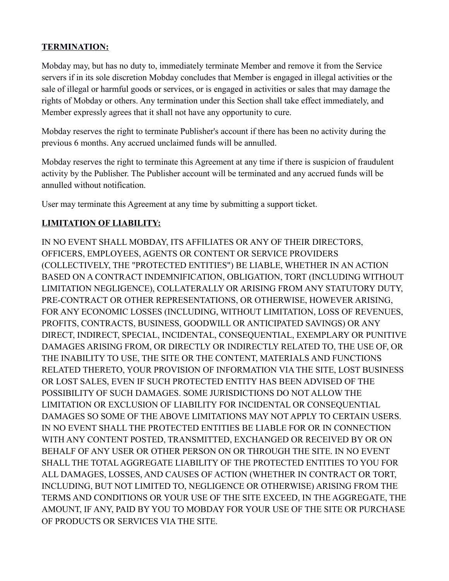## **TERMINATION:**

Mobday may, but has no duty to, immediately terminate Member and remove it from the Service servers if in its sole discretion Mobday concludes that Member is engaged in illegal activities or the sale of illegal or harmful goods or services, or is engaged in activities or sales that may damage the rights of Mobday or others. Any termination under this Section shall take effect immediately, and Member expressly agrees that it shall not have any opportunity to cure.

Mobday reserves the right to terminate Publisher's account if there has been no activity during the previous 6 months. Any accrued unclaimed funds will be annulled.

Mobday reserves the right to terminate this Agreement at any time if there is suspicion of fraudulent activity by the Publisher. The Publisher account will be terminated and any accrued funds will be annulled without notification.

User may terminate this Agreement at any time by submitting a support ticket.

### **LIMITATION OF LIABILITY:**

IN NO EVENT SHALL MOBDAY, ITS AFFILIATES OR ANY OF THEIR DIRECTORS, OFFICERS, EMPLOYEES, AGENTS OR CONTENT OR SERVICE PROVIDERS (COLLECTIVELY, THE "PROTECTED ENTITIES") BE LIABLE, WHETHER IN AN ACTION BASED ON A CONTRACT INDEMNIFICATION, OBLIGATION, TORT (INCLUDING WITHOUT LIMITATION NEGLIGENCE), COLLATERALLY OR ARISING FROM ANY STATUTORY DUTY, PRE-CONTRACT OR OTHER REPRESENTATIONS, OR OTHERWISE, HOWEVER ARISING, FOR ANY ECONOMIC LOSSES (INCLUDING, WITHOUT LIMITATION, LOSS OF REVENUES, PROFITS, CONTRACTS, BUSINESS, GOODWILL OR ANTICIPATED SAVINGS) OR ANY DIRECT, INDIRECT, SPECIAL, INCIDENTAL, CONSEQUENTIAL, EXEMPLARY OR PUNITIVE DAMAGES ARISING FROM, OR DIRECTLY OR INDIRECTLY RELATED TO, THE USE OF, OR THE INABILITY TO USE, THE SITE OR THE CONTENT, MATERIALS AND FUNCTIONS RELATED THERETO, YOUR PROVISION OF INFORMATION VIA THE SITE, LOST BUSINESS OR LOST SALES, EVEN IF SUCH PROTECTED ENTITY HAS BEEN ADVISED OF THE POSSIBILITY OF SUCH DAMAGES. SOME JURISDICTIONS DO NOT ALLOW THE LIMITATION OR EXCLUSION OF LIABILITY FOR INCIDENTAL OR CONSEQUENTIAL DAMAGES SO SOME OF THE ABOVE LIMITATIONS MAY NOT APPLY TO CERTAIN USERS. IN NO EVENT SHALL THE PROTECTED ENTITIES BE LIABLE FOR OR IN CONNECTION WITH ANY CONTENT POSTED, TRANSMITTED, EXCHANGED OR RECEIVED BY OR ON BEHALF OF ANY USER OR OTHER PERSON ON OR THROUGH THE SITE. IN NO EVENT SHALL THE TOTAL AGGREGATE LIABILITY OF THE PROTECTED ENTITIES TO YOU FOR ALL DAMAGES, LOSSES, AND CAUSES OF ACTION (WHETHER IN CONTRACT OR TORT, INCLUDING, BUT NOT LIMITED TO, NEGLIGENCE OR OTHERWISE) ARISING FROM THE TERMS AND CONDITIONS OR YOUR USE OF THE SITE EXCEED, IN THE AGGREGATE, THE AMOUNT, IF ANY, PAID BY YOU TO MOBDAY FOR YOUR USE OF THE SITE OR PURCHASE OF PRODUCTS OR SERVICES VIA THE SITE.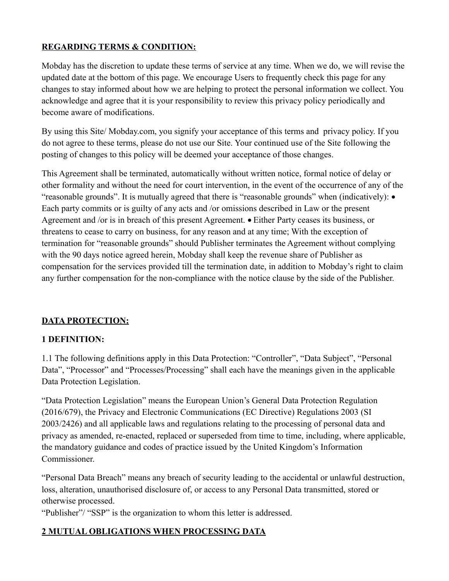# **REGARDING TERMS & CONDITION:**

Mobday has the discretion to update these terms of service at any time. When we do, we will revise the updated date at the bottom of this page. We encourage Users to frequently check this page for any changes to stay informed about how we are helping to protect the personal information we collect. You acknowledge and agree that it is your responsibility to review this privacy policy periodically and become aware of modifications.

By using this Site/ Mobday.com, you signify your acceptance of this terms and privacy policy. If you do not agree to these terms, please do not use our Site. Your continued use of the Site following the posting of changes to this policy will be deemed your acceptance of those changes.

This Agreement shall be terminated, automatically without written notice, formal notice of delay or other formality and without the need for court intervention, in the event of the occurrence of any of the "reasonable grounds". It is mutually agreed that there is "reasonable grounds" when (indicatively): Each party commits or is guilty of any acts and /or omissions described in Law or the present Agreement and /or is in breach of this present Agreement. • Either Party ceases its business, or threatens to cease to carry on business, for any reason and at any time; With the exception of termination for "reasonable grounds" should Publisher terminates the Agreement without complying with the 90 days notice agreed herein, Mobday shall keep the revenue share of Publisher as compensation for the services provided till the termination date, in addition to Mobday's right to claim any further compensation for the non-compliance with the notice clause by the side of the Publisher.

### **DATA PROTECTION:**

### **1 DEFINITION:**

1.1 The following definitions apply in this Data Protection: "Controller", "Data Subject", "Personal Data", "Processor" and "Processes/Processing" shall each have the meanings given in the applicable Data Protection Legislation.

"Data Protection Legislation" means the European Union's General Data Protection Regulation (2016/679), the Privacy and Electronic Communications (EC Directive) Regulations 2003 (SI 2003/2426) and all applicable laws and regulations relating to the processing of personal data and privacy as amended, re-enacted, replaced or superseded from time to time, including, where applicable, the mandatory guidance and codes of practice issued by the United Kingdom's Information Commissioner.

"Personal Data Breach" means any breach of security leading to the accidental or unlawful destruction, loss, alteration, unauthorised disclosure of, or access to any Personal Data transmitted, stored or otherwise processed.

"Publisher"/ "SSP" is the organization to whom this letter is addressed.

### **2 MUTUAL OBLIGATIONS WHEN PROCESSING DATA**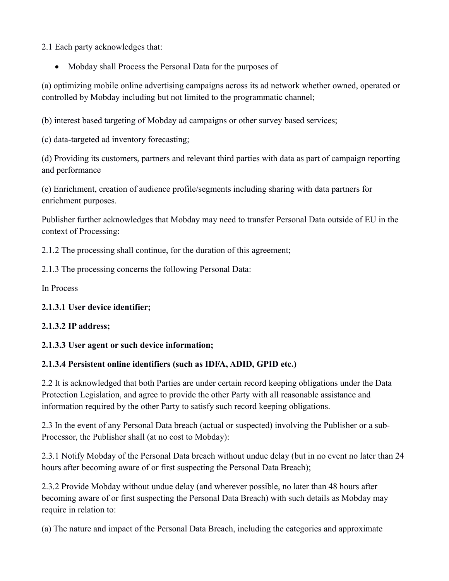2.1 Each party acknowledges that:

Mobday shall Process the Personal Data for the purposes of

(a) optimizing mobile online advertising campaigns across its ad network whether owned, operated or controlled by Mobday including but not limited to the programmatic channel;

(b) interest based targeting of Mobday ad campaigns or other survey based services;

(c) data-targeted ad inventory forecasting;

(d) Providing its customers, partners and relevant third parties with data as part of campaign reporting and performance

(e) Enrichment, creation of audience profile/segments including sharing with data partners for enrichment purposes.

Publisher further acknowledges that Mobday may need to transfer Personal Data outside of EU in the context of Processing:

2.1.2 The processing shall continue, for the duration of this agreement;

2.1.3 The processing concerns the following Personal Data:

In Process

### **2.1.3.1 User device identifier;**

### **2.1.3.2 IP address;**

### **2.1.3.3 User agent or such device information;**

# **2.1.3.4 Persistent online identifiers (such as IDFA, ADID, GPID etc.)**

2.2 It is acknowledged that both Parties are under certain record keeping obligations under the Data Protection Legislation, and agree to provide the other Party with all reasonable assistance and information required by the other Party to satisfy such record keeping obligations.

2.3 In the event of any Personal Data breach (actual or suspected) involving the Publisher or a sub-Processor, the Publisher shall (at no cost to Mobday):

2.3.1 Notify Mobday of the Personal Data breach without undue delay (but in no event no later than 24 hours after becoming aware of or first suspecting the Personal Data Breach);

2.3.2 Provide Mobday without undue delay (and wherever possible, no later than 48 hours after becoming aware of or first suspecting the Personal Data Breach) with such details as Mobday may require in relation to:

(a) The nature and impact of the Personal Data Breach, including the categories and approximate